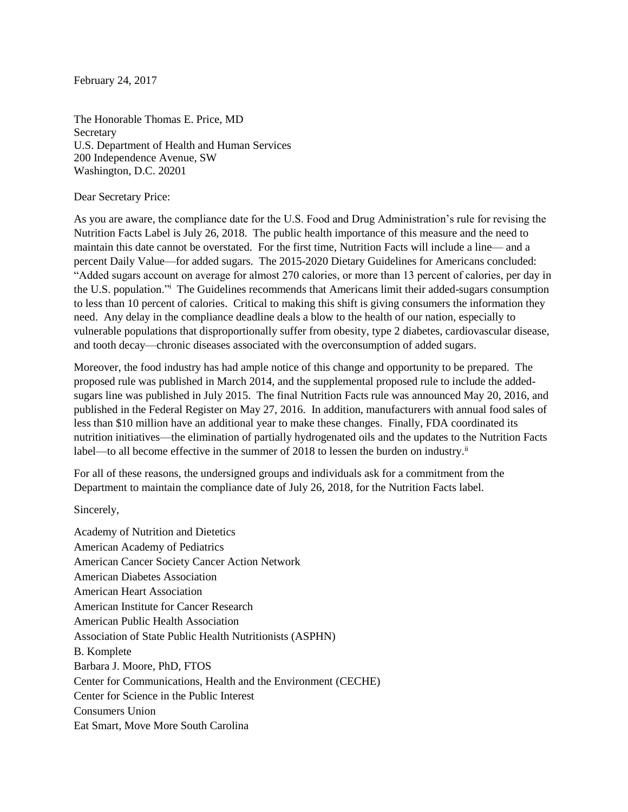February 24, 2017

The Honorable Thomas E. Price, MD **Secretary** U.S. Department of Health and Human Services 200 Independence Avenue, SW Washington, D.C. 20201

Dear Secretary Price:

As you are aware, the compliance date for the U.S. Food and Drug Administration's rule for revising the Nutrition Facts Label is July 26, 2018. The public health importance of this measure and the need to maintain this date cannot be overstated. For the first time, Nutrition Facts will include a line— and a percent Daily Value—for added sugars. The 2015-2020 Dietary Guidelines for Americans concluded: "Added sugars account on average for almost 270 calories, or more than 13 percent of calories, per day in the U.S. population."<sup>i</sup> The Guidelines recommends that Americans limit their added-sugars consumption to less than 10 percent of calories. Critical to making this shift is giving consumers the information they need. Any delay in the compliance deadline deals a blow to the health of our nation, especially to vulnerable populations that disproportionally suffer from obesity, type 2 diabetes, cardiovascular disease, and tooth decay—chronic diseases associated with the overconsumption of added sugars.

Moreover, the food industry has had ample notice of this change and opportunity to be prepared. The proposed rule was published in March 2014, and the supplemental proposed rule to include the addedsugars line was published in July 2015. The final Nutrition Facts rule was announced May 20, 2016, and published in the Federal Register on May 27, 2016. In addition, manufacturers with annual food sales of less than \$10 million have an additional year to make these changes. Finally, FDA coordinated its nutrition initiatives—the elimination of partially hydrogenated oils and the updates to the Nutrition Facts label—to all become effective in the summer of 2018 to lessen the burden on industry.<sup>ii</sup>

For all of these reasons, the undersigned groups and individuals ask for a commitment from the Department to maintain the compliance date of July 26, 2018, for the Nutrition Facts label.

Sincerely,

Academy of Nutrition and Dietetics American Academy of Pediatrics American Cancer Society Cancer Action Network American Diabetes Association American Heart Association American Institute for Cancer Research American Public Health Association Association of State Public Health Nutritionists (ASPHN) B. Komplete Barbara J. Moore, PhD, FTOS Center for Communications, Health and the Environment (CECHE) Center for Science in the Public Interest Consumers Union Eat Smart, Move More South Carolina